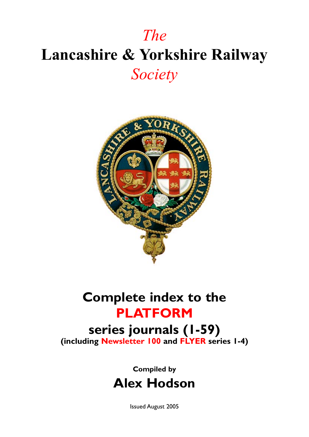# *The* **Lancashire & Yorkshire Railway** *Society*



## **Complete index to the PLATFORM**

**series journals (1-59) (including Newsletter 100 and Flyer series 1-4)**

### **Compiled by Alex Hodson**

Issued August 2005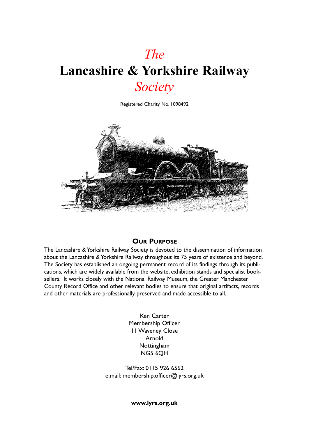## *The* **Lancashire & Yorkshire Railway** *Society*

Registered Charity No. 1098492



#### **Our Purpose**

The Lancashire & Yorkshire Railway Society is devoted to the dissemination of information about the Lancashire & Yorkshire Railway throughout its 75 years of existence and beyond. The Society has established an ongoing permanent record of its findings through its publications, which are widely available from the website, exhibition stands and specialist booksellers. It works closely with the National Railway Museum, the Greater Manchester County Record Office and other relevant bodies to ensure that original artifacts, records and other materials are professionally preserved and made accessible to all.

> Ken Carter Membership Officer 11 Waveney Close Arnold Nottingham NG5 6QH

Tel/Fax: 0115 926 6562 e.mail: membership.officer@lyrs.org.uk

**www.lyrs.org.uk**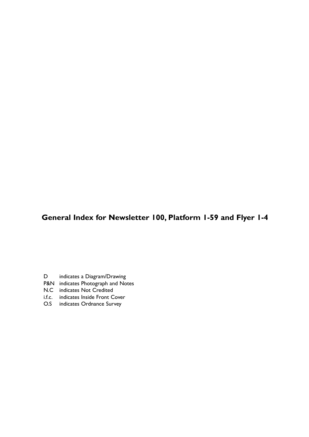#### **General Index for Newsletter 100, Platform 1-59 and Flyer 1-4**

- D indicates a Diagram/Drawing
- P&N indicates Photograph and Notes
- N.C indicates Not Credited
- i.f.c. indicates Inside Front Cover
- O.S indicates Ordnance Survey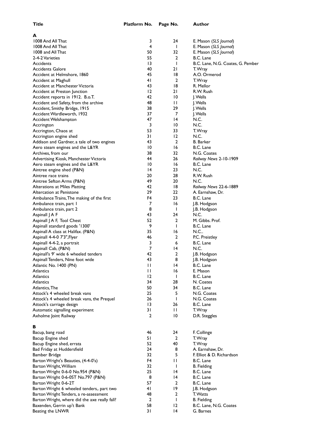**A**

| 1008 And All That                             | 3               | 24              | E. Mason (SLS Journal)            |
|-----------------------------------------------|-----------------|-----------------|-----------------------------------|
| 1008 And All That                             | 4               | ı               | E. Mason (SLS Journal)            |
| 1008 and All That                             | 50              | 32              | E. Mason (SLS Journal)            |
| 2-4-2 Varieties                               | 55              | 2               | B.C. Lane                         |
| Accidents                                     | $\overline{13}$ | $\mathbf{I}$    | B.C. Lane, N.G. Coates, G. Pember |
| <b>Accidents Galore</b>                       | 40              | 21              | T. Wray                           |
| Accident at Helmshore, 1860                   | 45              | 8               | A.O. Ormerod                      |
| Accident at Maghull                           | 41              | 2               | T. Wray                           |
| Accident at Manchester Victoria               | 43              | 18              | R. Mellor                         |
| Accident at Preston Junction                  | 12              | 21              | R.W. Rush                         |
| Accident reports in 1912. B.o.T.              | 42              | 10              | J. Wells                          |
| Accident and Safety, from the archive         | 48              | П               | J. Wells                          |
| Accident, Smithy Bridge, 1915                 | 38              | 29              | J. Wells                          |
| Accident Wardleworth, 1932                    | 37              | 7               | J. Wells                          |
| Accident Welshampton                          | 47              | $\overline{14}$ | N.C.                              |
| Accrington                                    | 3               | 10              | N.C.                              |
| Accrington, Chaos at                          | 53              | 33              | T. Wray                           |
| Accrington engine shed                        | 31              | $\overline{2}$  | N.C.                              |
| Addison and Gardner, a tale of two engines    | 43              | $\overline{2}$  | <b>B.</b> Barker                  |
| Aero steam engines and the L&YR               | $\overline{10}$ | 16              | B.C. Lane                         |
| Archives, from our                            | 38              | 32              | N.G. Coates                       |
| Advertising Kiosk, Manchester Victoria        | 44              | 26              | Railway News 2-10-1909            |
| Aero steam engines and the L&YR               | 10              | 16              | B.C. Lane                         |
|                                               | $\overline{14}$ | 23              | N.C.                              |
| Aintree engine shed (P&N)                     | 20              | 28              | R.W. Rush                         |
| Aintree race trains                           | 49              |                 |                                   |
| Aintree Sefton Arms (P&N)                     |                 | 20              | N.C.                              |
| Alterations at Miles Platting                 | 42              | 18              | Railway News 22-6-1889            |
| Altercation at Penistone                      | 29              | 22              | A. Earnshaw, Dr.                  |
| Ambulance Trains, The making of the first     | F4              | 23              | B.C. Lane                         |
| Ambulance train, part I                       | 7               | 16              | J.B. Hodgson                      |
| Ambulance train, part 2                       | 8               | I.              | J.B. Hodgson                      |
| Aspinall J A F                                | 43              | 24              | N.C.                              |
| Aspinall J A F, Tool Chest                    | 52              | 2               | M. Gibbs. Prof.                   |
| Aspinall standard goods '1300'                | 9               | T               | B.C. Lane                         |
| Aspinall A class at Halifax. (P&N)            | 35              | 16              | N.C.                              |
| Aspinall 4-4-0 7'3", Flyer                    | 46              | 2               | P.C. Preistley                    |
| Aspinall 4-4-2, a portrait                    | 3               | 6               | B.C. Lane                         |
| Aspinall Cab, (P&N)                           | 7               | 14              | N.C.                              |
| Aspinall's 9' wide 6 wheeled tenders          | 42              | $\overline{2}$  | J.B. Hodgson                      |
| Aspinall Tenders, Nine foot wide              | 43              | 8               | J.B. Hodgson                      |
| Atlantic No. 1400 (PN)                        | П               | 14              | B.C. Lane                         |
| Atlantics                                     | П               | 16              | E. Mason                          |
| Atlantics                                     | 12              | -1              | B.C. Lane                         |
| Atlantics                                     | 34              | 28              | N. Coates                         |
| Atlantics, The                                | 50              | 34              | B.C. Lane                         |
| Attock's 4 wheeled break vans                 | 25              | 5               | N.G. Coates                       |
| Attock's 4 wheeled break vans, the Prequel    | 26              | $\mathbf{I}$    | N.G. Coates                       |
| Attock's carriage design                      | 13              | 26              | B.C. Lane                         |
| Automatic signalling experiment               | 31              | П               | T. Wray                           |
| Axholme Joint Railway                         | $\overline{2}$  | 10              | D.R. Steggles                     |
|                                               |                 |                 |                                   |
| в                                             |                 |                 |                                   |
| Bacup, bang road                              | 46              | 24              | F. Collinge                       |
| Bacup Engine shed                             | 51              | $\overline{2}$  | T. Wray                           |
| Bacup Engine shed, errata                     | 52              | 40              | T. Wray                           |
| Bad Friday at Huddersfield                    | 24              | 8               | A. Earnshaw, Dr.                  |
| Bamber Bridge                                 | 32              | 5               | F. Elliot & D. Richardson         |
| Barton Wright's Beauties, (4-4-0's)           | F4              | П               | B.C. Lane                         |
| Barton Wright, William                        | 32              | $\mathbf{I}$    | <b>B.</b> Fielding                |
| Barton Wright 0-6-0 No.954 (P&N)              | 25              | 14              | B.C. Lane                         |
| Barton Wright 0-6-0ST No.797 (P&N)            | 8               | 14              | B.C. Lane                         |
| Barton Wright 0-6-2T                          | 57              | 2               | B.C. Lane                         |
| Barton Wright 6 wheeled tenders,. part two    | 41              | 19              | J.B. Hodgson                      |
| Barton Wright Tenders, a re-assessment        | 48              | 2               | T. Watts                          |
| Barton Wright, where did the axe really fall? | $\overline{2}$  | $\mathbf{I}$    | <b>B.</b> Fielding                |
| Baxenden, Gerrin up't Bank                    | 58              | 12              | B.C. Lane, N.G. Coates            |
| Beating the LNWR                              | 31              | 4               | G. Barnes                         |
|                                               |                 |                 |                                   |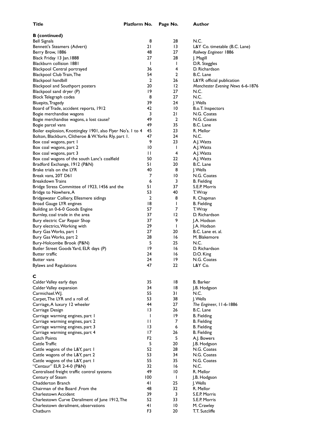|                                                             | <b>ALLIANTIII</b> | $.45$ $.30$     |                                  |
|-------------------------------------------------------------|-------------------|-----------------|----------------------------------|
| <b>B</b> (continued)                                        |                   |                 |                                  |
| <b>Bell Signals</b>                                         | 8                 | 28              | N.C.                             |
| Bennett's Steamers (Advert)                                 | 21                | 13              | L&Y Co. timetable (B.C. Lane)    |
| Berry Brow, 1886                                            | 48                | 27              | Railway Engineer 1886            |
| Black Friday 13 Jan. 1888                                   | 27                | 28              | J. Magill                        |
| <b>Blackburn collision 1881</b>                             | $\mathbf{I}$      | $\mathbf{I}$    | D.R. Steggles                    |
| Blackpool Central portrayed                                 | 36                | 4               | D. Richardson                    |
| Blackpool Club Train, The                                   | 54                | $\overline{2}$  | B.C. Lane                        |
| Blackpool handbill                                          | 2                 | 26              | L&YR official publication        |
| Blackpool and Southport posters                             | 20                | $12 \,$         | Manchester Evening News 6-6-1876 |
| Blackpool sand dryer (P)                                    | 19                | 27              | N.C.                             |
| Block Telegraph codes                                       | 8                 | 27              | N.C.                             |
| Bluepits, Tragedy                                           | 39                | 24              | J. Wells                         |
| Board of Trade, accident reports, 1912                      | 42                | $\overline{10}$ | B.o.T. Inspectors                |
| Bogie merchandise wagons                                    | 3                 | 21              | N.G. Coates                      |
| Bogie merchandise wagons, a lost cause?                     | 49                | 2               | N.G. Coates                      |
| Bogie parcel vans                                           | 49                | 35              | B.C. Lane                        |
| Boiler explosion, Knottingley 1901, also Flyer No's. 1 to 4 | 45                | 23              | R. Mellor                        |
| Bolton, Blackburn, Clitheroe & W. Yorks Rly, part 1.        | 47                | 24              | N.C.                             |
| Box coal wagons, part I                                     | 9                 | 23              | A.J. Watts                       |
| Box coal wagons, part 2                                     | 10                | $\mathbf{I}$    | A.J. Watts                       |
| Box coal wagons, part 3                                     | $\mathbf{L}$      | 4               | A.J. Watts                       |
| Box coal wagons of the south Lanc's coalfield               | 50                | 22              | A.J. Watts                       |
| Bradford Exchange, 1912 (P&N)                               | 51                | 20              | B.C. Lane                        |
| Brake trials on the LYR                                     | 40                | 8               | J. Wells                         |
| Break vans, 20T D61                                         | 7                 | 10              | N.G. Coates                      |
| <b>Breakdown Trains</b>                                     | 6                 | 3               | <b>B.</b> Fielding               |
| Bridge Stress Committee of 1923, 1456 and the               | 51                | 37              | S.E.P. Morris                    |
| Bridge to Nowhere, A                                        | 53                | 40              | T. Wray                          |
| Bridgewater Colliery, Ellesmere sidings                     | 2                 | 8               | R. Chapman                       |
| Broad Gauge LYR engines                                     | 18                | $\mathbf{I}$    | <b>B.</b> Fielding               |
| Building an 0-6-0 Goods Engine                              | 57                | 7               | T. Wray                          |
| Burnley, coal trade in the area                             | 37                | 12              | D. Richardson                    |
| Bury electric Car Repair Shop                               | 37                | 9               | J.A. Hodson                      |
| Bury electrics, Working with                                | 29                | $\mathbf{I}$    | J.A. Hodson                      |
| Bury Gas Works, part I                                      | 27                | 20              | B.C. Lane et. al.                |
| Bury Gas Works, part 2                                      | 28                | 16              | M. Blakemore                     |
| Bury-Holcombe Brook (P&N)                                   | 5                 | 25              | N.C.                             |
| Butler Street Goods Yard, ELR days (P)                      | 19                | 16              | D. Richardson                    |
| <b>Butter traffic</b>                                       | 24                | 16              | D.O. King                        |
| Butter vans                                                 | 24                | 19              | N.G. Coates                      |
| <b>Bylaws and Regulations</b>                               | 47                | 22              | L&Y Co.                          |
|                                                             |                   |                 |                                  |
| C                                                           |                   |                 |                                  |
| Calder Valley early days                                    | 35                | 18              | <b>B.</b> Barker                 |
| Calder Valley expansion                                     | 34                | 18              | J.B. Hodgson                     |
| Carmichael.W.J.                                             | 55                | 31              | N.C.                             |
| Carpet, The LYR and a roll of.                              | 53                | 38              | J. Wells                         |
| Carriage, A luxury 12 wheeler                               | 44                | 27              | The Engineer, 11-6-1886          |
| Carriage Design                                             | 13                | 26              | B.C. Lane                        |
| Carriage warming engines, part I                            | $\mathbf{I}$      | 19              | <b>B.</b> Fielding               |
| Carriage warming engines, part 2                            | П                 | 7               | <b>B.</b> Fielding               |
| Carriage warming engines, part 3                            | 13                | 6               | <b>B.</b> Fielding               |
| Carriage warming engines, part 4                            | 17                | 26              | B. Fielding                      |
| Catch Points                                                | F <sub>2</sub>    | 5               | A.J. Bowers                      |
| Cattle Traffic                                              | 5                 | 20              | J.B. Hodgson                     |
| Cattle wagons of the L&Y, part I                            | 52                | 28              | N.G. Coates                      |
| Cattle wagons of the L&Y, part 2                            | 53                | 34              | N.G. Coates                      |
| Cattle wagons of the L&Y, part I                            | 55                | 35              | N.G. Coates                      |
| "Centaur" ELR 2-4-0 (P&N)                                   | 32                | 16              | N.C.                             |
| Centralised freight traffic control systems                 | 49                | 10              | R. Mellor                        |

Centralised freight traffic control systems 49 10

Chadderton Branch 41 25

Charlestown Accident 39 3 S.E.P. Morris

Century of Steam 100 1 J.B. Hodgson<br>
11 Chadderton Branch<br>
25 J. Wells

Chairman of the Board ,From the 1992 Chairman of the Board ,From the 1992 Charlestown Accident 1998 Charlestown Accident 1998 C.E.P. Morris

Charlestown Curve Derailment of June 1912, The 52 33 S.E.P. Morris Charlestown derailment, observations **41** 10 M. Crawley Chatburn **F3** 20 T.T. Sutcliffe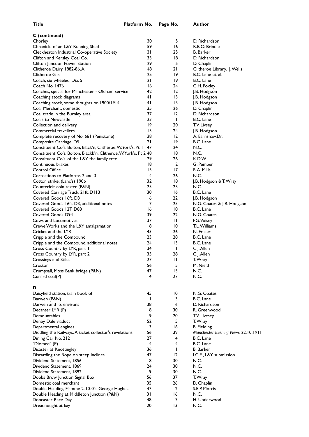Doncaster Race Day

| C (continued)<br>Chorley                                         | 30              | 5               | D. Richardson                      |
|------------------------------------------------------------------|-----------------|-----------------|------------------------------------|
| Chronicle of an L&Y Running Shed                                 | 59              | 16              | R.B.O. Brindle                     |
| Cleckheaton Industrial Co-operative Society                      | 31              | 25              | <b>B.</b> Barker                   |
| Clifton and Kersley Coal Co.                                     | 33              | 18              | D. Richardson                      |
| Clifton Junction Power Station                                   | 29              | 5               | D. Chaplin                         |
| Clitheroe Dairy 1882-86, A.                                      | 48              | 21              | Clitheroe Library, J. Wells        |
| <b>Clitheroe Gas</b>                                             | 25              | 19              | B.C. Lane et. al.                  |
| Coach, six wheeled, Dia. 5                                       | 21              | 19              | B.C. Lane                          |
| Coach No. 1476                                                   | 16              | 24              | G.H. Foxley                        |
| Coaches, special for Manchester - Oldham service                 | 42              | 12              | J.B. Hodgson                       |
| Coaching stock diagrams                                          | 41              | 13              | J.B. Hodgson                       |
| Coaching stock, some thoughts on, 1900/1914                      | 41              | 13              | J.B. Hodgson                       |
| Coal Merchant, domestic                                          | 35              | 26              | D. Chaplin                         |
| Coal trade in the Burnley area                                   | 37              | 12              | D. Richardson                      |
| Coals to Newcastle                                               | 23              | $\mathbf{I}$    | B.C. Lane                          |
| Collection and delivery                                          | 19              | 20              | T.V. Livsey                        |
| Commercial travellers                                            | 13              | 24              | J.B. Hodgson                       |
| Complete recovery of No. 661 (Penistone)                         | 28              | $\overline{2}$  | A. Earnshaw.Dr.                    |
| Composite Carriage, D5                                           | 21              | 19              | B.C. Lane                          |
| Constituent Co's. Bolton, Black'n, Clitheroe, W.York's. Pt 1     | 47              | 24              | N.C.                               |
| Constituent Co's. Bolton, Blackb'n, Clitheroe, W.York's. Pt 2 48 |                 | 18              | N.C.                               |
| Constituent Co's. of the L&Y, the family tree                    | 29              | 26              | K.D.W.                             |
| Continuous brakes                                                | 18              | $\overline{2}$  | G. Pember                          |
| Control Office                                                   | 13              | 17              | R.A. Mills                         |
| Corrections to Platforms 2 and 3                                 | 4               | 26              | N.C.                               |
| Cotton strike, (Lanc's) 1906                                     | 32              | 18              | J.B. Hodgson & T. Wray             |
| Counterfeit coin tester (P&N)                                    | 25              | 25              | N.C.                               |
| Covered Carriage Truck, 21ft. D113                               | 30              | 16              | B.C. Lane                          |
| Covered Goods 16ft. D3                                           | 6               | 22.             | J.B. Hodgson                       |
| Covered Goods 16ft. D3, additional notes                         | 7               | 25              | N.G. Coates & J.B. Hodgson         |
| Covered Goods 12T D88                                            | 16              | 10              | B.C. Lane                          |
| Covered Goods D94                                                | 39              | 22              | N.G. Coates                        |
| Cows and Locomotives                                             | 37              | П               | F.G. Voisey                        |
| Crewe Works and the L&Y amalgamation                             | 8               | 10              | T.L. Williams                      |
| Cricket and the LYR                                              | 43              | 26              | N. Fraser                          |
| Cripple and the Compound                                         | 23              | 28              | B.C. Lane                          |
| Cripple and the Compound, additional notes                       | 24              | $\overline{13}$ | B.C. Lane                          |
| Cross Country by LYR, part 1                                     | 34              | Т               | C.J. Allen                         |
| Cross Country by LYR, part 2                                     | 35              | 28              | C.J. Allen                         |
| Crossings and Stiles                                             | 27              | П               | T. Wray                            |
| Croston                                                          | 56              | 5               | M. Nield                           |
| Crumpsall, Moss Bank bridge (P&N)                                | 47              | 15              | N.C.                               |
| Cunard coal(P)                                                   | $\overline{14}$ | 27              | N.C.                               |
|                                                                  |                 |                 |                                    |
| D                                                                |                 |                 |                                    |
| Daisyfield station, train book of                                | 45              | 10              | N.G. Coates                        |
| Darwen (P&N)                                                     | $\mathsf{L}$    | 3               | B.C. Lane                          |
| Darwen and its environs                                          | 38              | 6               | D. Richardson                      |
| Decanter LYR (P)                                                 | 18              | 30              | R. Greenwood                       |
| Demountables                                                     | 19              | 20              | T.V. Livesey                       |
| Denby Dale viaduct                                               | 52              | 5               | T. Wray                            |
| Departmental engines                                             | 3               | 16              | <b>B.</b> Fielding                 |
| Diddling the Railways. A ticket collector's revelations          | 56              | 39              | Manchester Evening News 22.10.1911 |
| Dining Car No. 212                                               | 27              | 4               | B.C. Lane                          |
| "Diomed" (P)                                                     | $\overline{14}$ | 4               | B.C. Lane                          |
| Disaster at Knottingley                                          | 36              | $\mathbf{I}$    | <b>B.</b> Barker                   |
| Discarding the Rope on steep inclines                            | 47              | $12 \,$         | I.C.E., L&Y submission             |
| Dividend Statement, 1856                                         | 8               | 30              | N.C.                               |
| Dividend Statement, 1869                                         | 24              | 30              | N.C.                               |
| Dividend Statement, 1892                                         | 9               | 30              | N.C.                               |
| Dobbs Brow Junction Signal Box                                   | 56              | 37              | T. Wray                            |
| Domestic coal merchant                                           | 35              | 26              | D. Chaplin                         |

Double Heading, Flamme 2-10-0's. George Hughes. <br>
Double Heading at Middleton Junction (P&N) <br>
31 16 N.C. Double Heading at Middleton Junction (P&N) 31 16 N.C.

Dreadnought at bay **20** 13 N.C.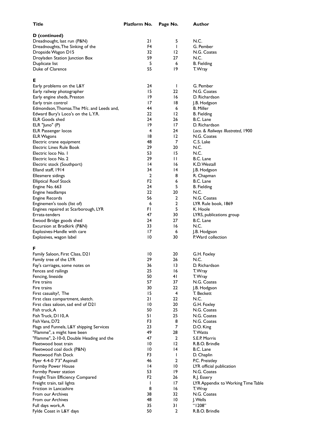| Title                                                             | Platform No.          | Page No.          | Author                                        |
|-------------------------------------------------------------------|-----------------------|-------------------|-----------------------------------------------|
| D (continued)                                                     |                       |                   |                                               |
| Dreadnought, last run (P&N)                                       | 21                    | 5                 | N.C.                                          |
| Dreadnoughts, The Sinking of the                                  | F4                    | $\mathbf{I}$      | G. Pember                                     |
| Dropside Wagon D15                                                | 32                    | $\overline{2}$    | N.G. Coates                                   |
| Droylsden Station Junction Box                                    | 59                    | 27                | N.C.                                          |
| Duplicate list                                                    | 5                     | 6                 | <b>B.</b> Fielding                            |
| Duke of Clarence                                                  | 55                    | $ 9\rangle$       | T. Wray                                       |
| Е                                                                 |                       |                   |                                               |
| Early problems on the L&Y                                         | 24                    | $\mathbf{I}$      | G. Pember                                     |
| Early railway photographer                                        | 15                    | 22                | N.G. Coates                                   |
| Early engine sheds, Preston                                       | 19<br>17              | 16<br>18          | D. Richardson                                 |
| Early train control<br>Edmondson, Thomas. The M/c. and Leeds and, | 44                    | 6                 | J.B. Hodgson<br><b>B.</b> Miller              |
| Edward Bury's Loco's on the L.Y.R.                                | 22                    | 12                | <b>B.</b> Fielding                            |
| <b>ELR Goods shed</b>                                             | 24                    | 26                | B.C. Lane                                     |
| ELR "Juno" (P)                                                    | 19                    | 17                | D. Richardson                                 |
| ELR Passenger locos                                               | 4                     | 24                | Loco. & Railways Illustrated, 1900            |
| <b>ELR Wagons</b>                                                 | 18                    | 12                | N.G. Coates                                   |
| Electric crane equipment                                          | 48                    | 7                 | C.S. Lake                                     |
| <b>Electric Lines Rule Book</b>                                   | 29                    | 20                | N.C.                                          |
| Electric loco No. I                                               | 53                    | 15                | N.C.                                          |
| Electric loco No. 2                                               | 29                    | $\mathbf{L}$      | B.C. Lane                                     |
| Electric stock (Southport)                                        | $\overline{14}$       | 16                | K.D. Westall                                  |
| Elland staff, 1914                                                | 34                    | 14                | J.B. Hodgson                                  |
| Ellesmere sidings                                                 | 2                     | 8                 | R. Chapman                                    |
| <b>Elliptical Roof Stock</b>                                      | F <sub>2</sub>        | 6                 | B.C. Lane                                     |
| Engine No. 663                                                    | 24                    | 5                 | <b>B.</b> Fielding                            |
| Engine headlamps                                                  | 22                    | 20                | N.C.                                          |
| Engine Records                                                    | 56                    | 2                 | N.G. Coates                                   |
| Enginemen's tools (list of)                                       | 6                     | 2                 | LYR Rule book, 1869                           |
| Engines repaired at Scarborough, LYR                              | FΙ                    | 5                 | K. Hoole                                      |
| Errata-tenders                                                    | 47                    | 30                | LYRS, publications group                      |
| Ewood Bridge goods shed                                           | 24<br>33              | 27                | B.C. Lane<br>N.C.                             |
| Excursion at Bradkirk (P&N)<br>Explosives-Handle with care        | 17                    | 16<br>6           |                                               |
| Explosives, wagon label                                           | 10                    | 30                | J.B. Hodgson<br>P. Ward collection            |
| F                                                                 |                       |                   |                                               |
| Family Saloon, First Class, D21                                   | $\overline{10}$       | 20                | G.H. Foxley                                   |
| Family tree of the LYR                                            | 29                    | 26                | N.C.                                          |
| Fay's carriages, some notes on                                    | 36                    | $\overline{13}$   | D. Richardson                                 |
| Fences and railings                                               | 25                    | 16                | T. Wray                                       |
| Fencing, lineside                                                 | 50                    | 41                | T. Wray                                       |
| Fire trains                                                       | 57                    | 37                | N.G. Coates                                   |
| Fire trains                                                       | 30                    | 22                | J.B. Hodgson                                  |
| First casualty?, The                                              | 15                    | 4                 | T. Beckett                                    |
| First class compartment, sketch.                                  | 21                    | 22                | N.C.                                          |
| First class saloon, sad end of D21                                | $\overline{10}$       | 20                | G.H. Foxley                                   |
| Fish truck, A                                                     | 50                    | 25                | N.G. Coates                                   |
| Fish Truck, D110, A                                               | 51                    | 25                | N.G. Coates                                   |
| Fish Vans, D72                                                    | F3                    | 8                 | N.G. Coates                                   |
| Flags and Funnels, L&Y shipping Services                          | 23                    | 7                 | D.O. King                                     |
| "Flamme", a might have been                                       | 49                    | 28                | T. Watts                                      |
| "Flamme", 2-10-0, Double Heading and the                          | 47                    | $\overline{2}$    | S.E.P. Morris                                 |
| Fleetwood boat train                                              | $\overline{10}$       | $\overline{2}$    | R.B.O. Brindle                                |
| Fleetwood coal dock (P&N)                                         | $\overline{10}$       | $\overline{14}$   | B.C. Lane                                     |
| Fleetwood Fish Dock                                               | F <sub>3</sub><br>46  | $\mathbf{I}$<br>2 | D. Chaplin                                    |
| Flyer 4-4-0 7'3" Aspinall                                         |                       |                   | P.C. Preistley                                |
| Formby Power House                                                | $\overline{14}$<br>53 | 10<br>19          | LYR official publication                      |
| Formby Power station                                              | F <sub>2</sub>        | 26                | N.G. Coates                                   |
| Freight Train Efficiency Compared                                 | $\mathsf{l}$          | 17                | R.J. Essery                                   |
| Freight train, tail lights<br>Friction in Lancashire              | 8                     | 16                | LYR Appendix to Working Time Table<br>T. Wray |
| From our Archives                                                 | 38                    | 32                | N.G. Coates                                   |
| From our Archives                                                 | 48                    | 10                | J. Wells                                      |
| Full days work, A                                                 | 35                    | 31                | "1208"                                        |
| Fylde Coast in L&Y days                                           | 50                    | $\overline{2}$    | R.B.O. Brindle                                |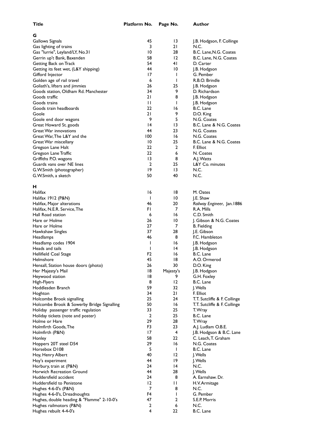| v<br>i        |  |
|---------------|--|
| ×             |  |
| ۰,<br>v.<br>٠ |  |

| G                                          |                |                 |                              |
|--------------------------------------------|----------------|-----------------|------------------------------|
| Gallows Signals                            | 45             | 13              | J.B. Hodgson, F. Collinge    |
| Gas lighting of trains                     | 3              | 21              | N.C.                         |
| Gas "lurrie", Leyland/LY, No.31            | 10             | 28              | B.C. Lane, N.G. Coates       |
| Gerrin up't Bank, Baxenden                 | 58             | 12              | B.C. Lane, N.G. Coates       |
|                                            | 54             | 41              |                              |
| Getting Back on Track                      |                |                 | D. Carter                    |
| Getting its feet wet, (L&Y shipping)       | 44             | 10              | J.B. Hodgson                 |
| Gifford Injector                           | 17             | $\mathbf{I}$    | G. Pember                    |
| Golden age of rail travel                  | 6              | $\mathsf{I}$    | R.B.O. Brindle               |
| Goliath's, lifters and jimmies             | 26             | 25              | J.B. Hodgson                 |
| Goods station, Oldham Rd. Manchester       | 34             | 9               | D. Richardson                |
| Goods traffic                              | 21             | 8               | J.B. Hodgson                 |
| Goods trains                               | $\mathsf{H}$   | $\mathsf{I}$    |                              |
|                                            |                |                 | J.B. Hodgson                 |
| Goods train headboards                     | 22             | 16              | B.C. Lane                    |
| Goole                                      | 21             | 9               | D.O. King                    |
| Goole end door wagons                      | 9              | 5               | N.G. Coates                  |
| Great Howard St. goods                     | 14             | 13              | B.C. Lane & N.G. Coates      |
| Great War innovations                      | 44             | 23              | N.G. Coates                  |
| Great War, The L&Y and the                 | 100            | 16              | N.G. Coates                  |
| Great War miscellany                       | 10             | 25              | B.C. Lane & N.G. Coates      |
|                                            | 22             | $\overline{2}$  | F. Elliot                    |
| Gregson Lane Halt                          |                |                 |                              |
| Gregson Lane Traffic                       | 22             | 6               | N. Coates                    |
| Griffiths P.O. wagons                      | 13             | 8               | A.J. Watts                   |
| Guards vans over NE lines                  | $\overline{2}$ | 25              | L&Y Co. minutes              |
| G.W.Smith (photographer)                   | 19             | $\overline{13}$ | N.C.                         |
| G.W.Smith, a sketch                        | 50             | 40              | N.C.                         |
|                                            |                |                 |                              |
| н                                          |                |                 |                              |
|                                            |                |                 |                              |
| Halifax                                    | 16             | 18              | M. Oates                     |
| Halifax 1912 (P&N)                         | I              | 10              | J.E. Shaw                    |
| Halifax, Major alterations                 | 46             | 20              | Railway Engineer, Jan. 1886  |
| Halifax, N.E.R. Service, The               | FI             | 7               | R.A. Mills                   |
| Hall Road station                          | 6              | 16              | C.D. Smith                   |
| Hare or Holme                              | 26             | 10              | J. Gibson & N.G. Coates      |
| Hare or Holme                              | 27             | 7               | <b>B.</b> Fielding           |
|                                            |                |                 |                              |
| Hawkshaw Singles                           | 37             | 28              | J.E. Gibson                  |
| Headlamps                                  | 46             | 8               | F.C. Hambleton               |
| Headlamp codes 1904                        | I              | 16              | J.B. Hodgson                 |
| Heads and tails                            | ı              | 14              | J.B. Hodgson                 |
| Hellifield Coal Stage                      | F <sub>2</sub> | 16              | B.C. Lane                    |
| Helmshore                                  | 45             | 18              | A.O. Ormerod                 |
| Hensall, Station house doors (photo)       | 26             | 30              | D.O. King                    |
| Her Majesty's Mail                         | 18             | Majesty's       | J.B. Hodgson                 |
|                                            |                |                 |                              |
| Heywood station                            | 18             | 9.              | G.H. Foxley                  |
| High-Flyers                                | 8              | 12              | B.C. Lane                    |
| Hoddlesden Branch                          | 59             | 32              | J. Wells                     |
| Hoghton                                    | 34             | 21              | F. Elliot                    |
| Holcombe Brook signalling                  | 25             | 24              | T.T. Sutcliffe & F. Collinge |
| Holcombe Brook & Sowerby Bridge Signalling | 50             | 16              | T.T. Sutcliffe & F. Collinge |
| Holiday passenger traffic regulation       | 33             | 25              | T. Wray                      |
|                                            | 2              | 25              | B.C. Lane                    |
| Holiday tickets (note and poster)          |                |                 |                              |
| Holme or Hare                              | 29             | 28              | T. Wray                      |
| Holmfirth Goods, The                       | F3             | 23              | A.J. Ludlam O.B.E.           |
| Holmfirth (P&N)                            | 17             | $\overline{4}$  | J.B. Hodgson & B.C. Lane     |
| Honley                                     | 58             | 22              | C. Leach, T. Graham          |
| Hoppers 20T steel D54                      | 29             | 16              | N.G. Coates                  |
| Horsebox D108                              | 5              | $\mathsf{l}$    | B.C. Lane                    |
| Hoy, Henry Albert                          | 40             | 12              | J. Wells                     |
|                                            |                |                 |                              |
| Hoy's experiment                           | 44             | 19              | J. Wells                     |
| Horbury, train at (P&N)                    | 24             | 4               | N.C.                         |
| Horwich Recreation Ground                  | 44             | 28              | J. Wells                     |
| Huddersfield accident                      | 24             | 8               | A. Earnshaw. Dr.             |
| Huddersfield to Penistone                  | 12             | $\mathbf{H}$    | H.V. Armitage                |
| Hughes 4-6-0's (P&N)                       | 7              | 8               | N.C.                         |
| Hughes 4-6-0's, Dreadnoughts               | F4             | $\mathsf{I}$    | G. Pember                    |
|                                            |                |                 |                              |
| Hughes, double heading & "Flamme" 2-10-0's | 47             | 2               | S.E.P. Morris                |
| Hughes railmotors (P&N)                    | 2              | 6               | N.C.                         |
| Hughes rebuilt 4-4-0's                     | 4              | 22              | B.C. Lane                    |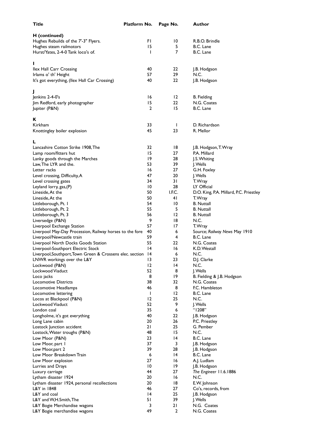| <b>Title</b>                                                 | Platform No.    | Page No.     |   | Author                                  |
|--------------------------------------------------------------|-----------------|--------------|---|-----------------------------------------|
| H (continued)                                                |                 |              |   |                                         |
| Hughes Rebuilds of the 7'-3" Flyers.                         | FΙ              | 10           |   | R.B.O. Brindle                          |
| Hughes steam railmotors                                      | 15              |              | 5 | B.C. Lane                               |
| Hurst/Yates, 2-4-0 Tank loco's of.                           | L               |              | 7 | B.C. Lane                               |
|                                                              |                 |              |   |                                         |
| п                                                            |                 |              |   |                                         |
| Ilex Hall Carr Crossing                                      | 40              | 22           |   | J.B. Hodgson                            |
| Irlams o' th' Height                                         | 57              | 29           |   | N.C.                                    |
| It's got everything, (Ilex Hall Car Crossing)                | 40              | 22           |   | J.B. Hodgson                            |
| J                                                            |                 |              |   |                                         |
| Jenkins 2-4-0's                                              | 16              | 12           |   | <b>B.</b> Fielding                      |
| Jim Redford, early photographer                              | 15              | 22           |   | N.G. Coates                             |
| Jupiter (P&N)                                                | 2               | 15           |   | B.C. Lane                               |
|                                                              |                 |              |   |                                         |
| Κ<br>Kirkham                                                 | 33              | $\mathbf{I}$ |   | D. Richardson                           |
|                                                              | 45              | 23           |   | R. Mellor                               |
| Knottingley boiler explosion                                 |                 |              |   |                                         |
| L                                                            |                 |              |   |                                         |
| Lancashire Cotton Strike 1908, The                           | 32              | 18           |   | J.B. Hodgson, T. Wray                   |
| Lamp room/fitters hut                                        | 15              | 27           |   | P.A. Millard                            |
| Lanky goods through the Marches                              | 19              | 28           |   | J.S. Whiting                            |
| Law, The LYR and the.                                        | 53              | 39           |   | J. Wells                                |
| Letter racks                                                 | 16              | 27           |   | G.H. Foxley                             |
| Level crossing, Difficulty, A                                | 47              | 20           |   | J. Wells                                |
| Level crossing gates                                         | 34              | 31           |   | T. Wray                                 |
| Leyland lorry, gas, (P)                                      | 10              | 28           |   | LY Official                             |
| Lineside, At the                                             | 50              | I.F.C.       |   | D.O. King, P.A. Millard, P.C. Priestley |
| Lineside, At the                                             | 50              | 41           |   | T. Wray                                 |
| Littleborough, Pt. I                                         | 54              | 10           |   | <b>B.</b> Nuttall                       |
| Littleborough, Pt. 2                                         | 55              | 5            |   | <b>B.</b> Nuttall                       |
| Littleborough, Pt. 3                                         | 56              | 12           |   | <b>B.</b> Nuttall                       |
| Liversedge (P&N)                                             | 9               | 18           |   | N.C.                                    |
| Liverpool Exchange Station                                   | 57              | 17           |   | T. Wray                                 |
| Liverpool May-Day Procession, Railway horses to the fore     | 40              | 6            |   | Source; Railway News May 1910           |
| Liverpool/Newcastle train                                    | 59              |              | 4 | B.C. Lane                               |
| Liverpool North Docks Goods Station                          | 55              | 22           |   | N.G. Coates                             |
| Liverpool-Southport Electric Stock                           | 14              | 16           |   | K.D. Westall                            |
| Liverpool, Southport, Town Green & Crossens elec. section 14 |                 | 6            |   | N.C.                                    |
| LNWR workings over the L&Y                                   | $\overline{13}$ | 23           |   | D.J. Clarke                             |
| Lockwood (P&N)                                               | 12              | 4            |   | N.C.                                    |
| Lockwood Viaduct                                             | 52              | 8            |   | J. Wells                                |
|                                                              | 8               | 19           |   | B. Fielding & J.B. Hodgson              |
| Loco jacks<br><b>Locomotive Districts</b>                    | 38              | 32           |   | N.G. Coates                             |
| Locomotive Headlamps                                         | 46              | 8            |   | F.C. Hambleton                          |
| Locomotive lettering                                         | L               | 12           |   | B.C. Lane                               |
| Locos at Blackpool (P&N)                                     | 12              | 25           |   | N.C.                                    |
| Lockwood Viaduct                                             | 52              | 9            |   |                                         |
|                                                              |                 |              |   | J. Wells<br>"1208"                      |
| London coal                                                  | 35              | 6            |   |                                         |
| Longholme, it's got everything                               | 40              | 22           |   | J.B. Hodgson                            |
| Long Lane cabin                                              | 20              | 26           |   | P.C. Priestley                          |
| Lostock Junction accident                                    | 21              | 25           |   | G. Pember                               |
| Lostock, Water troughs (P&N)                                 | 48              | 15           |   | N.C.                                    |
| Low Moor (P&N)                                               | 23              | 4            |   | B.C. Lane                               |
| Low Moor, part 1                                             | 37              | 3            |   | J.B. Hodgson                            |
| Low Moor, part 2                                             | 39              | 28           |   | J.B. Hodgson                            |
| Low Moor Breakdown Train                                     | 6               | 4            |   | B.C. Lane                               |
| Low Moor explosion                                           | 27              | 16           |   | A.J. Ludlam                             |
| Lurries and Drays                                            | 10              | 19           |   | J.B. Hodgson                            |
| Luxury carriage                                              | 44              | 27           |   | The Engineer 11.6.1886                  |
| Lytham disaster 1924                                         | 20              | 16           |   | N.C.                                    |
| Lytham disaster 1924, personal recollections                 | 20              | 18           |   | E.W. Johnson                            |
| L&Y in 1848                                                  | 46              | 27           |   | Co's, records, from                     |
| L&Y and coal                                                 | 14              | 25           |   | J.B. Hodgson                            |
| L&Y and W,H.Smith, The                                       | 51              | 39           |   | J. Wells                                |
| L&Y Bogie Merchandise wagons                                 | 3               | 21           |   | N.G. Coates                             |
| L&Y Bogie merchandise wagons                                 | 49              | 2            |   | N.G. Coates                             |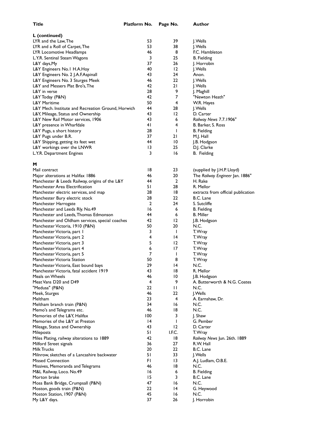| L (continued)                                                            |                 |                |                                                 |
|--------------------------------------------------------------------------|-----------------|----------------|-------------------------------------------------|
| LYR and the Law, The                                                     | 53              | 39             | J. Wells                                        |
| LYR and a Roll of Carpet, The                                            | 53              | 38             | J. Wells                                        |
| LYR Locomotive Headlamps                                                 | 46              | 8              | F.C. Hambleton                                  |
| L.Y.R. Sentinal Steam Wagons                                             | 3               | 25             | <b>B.</b> Fielding                              |
| L&Y days, My                                                             | 37              | 26             | J. Horrobin                                     |
| L&Y Engineers No.1 H.A.Hoy                                               | 40              | 12             | J. Wells                                        |
| L&Y Engineers No. 2 J.A.F.Aspinall                                       | 43              | 24             | Anon.                                           |
| L&Y Engineers No. 3 Sturges Meek                                         | 46              | 22             | J. Wells                                        |
| L&Y and Messers Plat Bro's, The                                          | 42              | 21             | J. Wells                                        |
| L&Y in verse                                                             | 28              | 9              | J. Maghill                                      |
| L&Y Today (P&N)                                                          | 42              | $\overline{7}$ | "Newton Heath"                                  |
| <b>L&amp;Y Maritime</b>                                                  | 50              | 4              | W.R. Hayes                                      |
| L&Y Mech. Institute and Recreation Ground, Horwich                       | 44<br>43        | 28<br>12       | J. Wells<br>D. Carter                           |
| L&Y, Mileage, Status and Ownership<br>L&Y New Rail Motor services, 1906  | 43              | 6              | Railway News 7.7.1906"                          |
| L&Y presence in Wharfdale                                                | 4 <sub>1</sub>  | 4              | B. Barker, S. Ross                              |
| L&Y Pugs, a short history                                                | 28              | I              | <b>B.</b> Fielding                              |
| L&Y Pugs under B.R.                                                      | 37              | 21             | M.J. Hall                                       |
| L&Y Shipping, getting its feet wet                                       | 44              | 10             | J.B. Hodgson                                    |
| L&Y workings over the LNWR                                               | $\overline{13}$ | 25             | D.J. Clarke                                     |
| L.Y.R. Department Engines                                                | 3               | 16             | <b>B.</b> Fielding                              |
|                                                                          |                 |                |                                                 |
| м                                                                        |                 |                |                                                 |
| Mail contract                                                            | 18              | 23             | (supplied by J.H.P. Lloyd)                      |
| Major alterations at Halifax 1886                                        | 46<br>44        | 20             | The Railway Engineer Jan. 1886"                 |
| Manchester & Leeds Railway, origins of the L&Y                           | 51              | 2<br>28        | H. Rake<br>R. Mellor                            |
| Manchester Area Electrification<br>Manchester electric services, and map | 28              | 18             |                                                 |
| Manchester Bury electric stock                                           | 28              | 22             | extracts from official publication<br>B.C. Lane |
| Manchester Harrogate                                                     | 2               | 24             | S. Sutcliffe                                    |
| Manchester and Leeds Rly. No.49                                          | 16              | 6              | <b>B.</b> Fielding                              |
| Manchester and Leeds,Thomas Edmonson                                     | 44              | 6              | <b>B.</b> Miller                                |
| Manchester and Oldham services, special coaches                          | 42              | 12             | J.B. Hodgson                                    |
| Manchester Victoria, 1910 (P&N)                                          | 50              | 20             | N.C.                                            |
| Manchester Victoria, part I                                              | 3               | T              | T. Wray                                         |
| Manchester Victoria, part 2                                              | 4               | 14             | T. Wray                                         |
| Manchester Victoria, part 3                                              | 5               | 12             | T. Wray                                         |
| Manchester Victoria, part 4                                              | 6               | 17             | T. Wray                                         |
| Manchester Victoria, part 5                                              | $\overline{7}$  | I              | T. Wray                                         |
| Manchester Victoria Station                                              | 50              | 8              | T. Wray                                         |
| Manchester Victoria, East bound bays                                     | 29              | 4              | N.C.                                            |
| Manchester Victoria, fatal accident 1919<br>Meals on Wheels              | 43              | 18             | R. Mellor                                       |
| Meat Vans D20 and D49                                                    | 46<br>4         | 10<br>9        | J.B. Hodgson<br>A. Butterworth & N.G. Coates    |
| "Medusa" (P&N)                                                           | 22              | П              | N.C.                                            |
| Meek, Sturges                                                            | 46              | 22             | J.Wells                                         |
| Meltham                                                                  | 23              | 4              | A. Earnshaw, Dr.                                |
| Meltham branch train (P&N)                                               | 34              | 16             | N.C.                                            |
| Memo's and Telegrams etc.                                                | 46              | 18             | N.C.                                            |
| Memories of the L&Y, Halifax                                             | 100             | 3              | J. Shaw                                         |
| Memories of the L&Y at Preston                                           | $\overline{14}$ | $\mathsf{I}$   | G. Pember                                       |
| Mileage, Status and Ownership                                            | 43              | 12             | D. Carter                                       |
| Mileposts                                                                | 51              | I.F.C.         | T. Wray                                         |
| Miles Plating, railway alterations to 1889                               | 42              | 18             | Railway News Jun. 26th. 1889                    |
| Milford Street signals                                                   | 36              | 27             | R.W. Hall                                       |
| <b>Milk Trucks</b>                                                       | 20              | 22             | B.C. Lane                                       |
| Milnrow, sketches of a Lancashire backwater                              | 51              | 33             | J. Wells                                        |
| <b>Missed Connection</b>                                                 | FΙ              | 13             | A.J. Ludlam, O.B.E.                             |
| Missives, Memoranda and Telegrams                                        | 46              | 18             | N.C.                                            |
| M&L Railway, Loco. No.49<br>Morton brake                                 | 16<br>15        | 6<br>3         | <b>B.</b> Fielding                              |
|                                                                          | 47              | 16             | B.C. Lane<br>N.C.                               |
| Moss Bank Bridge, Crumpsall (P&N)<br>Moston, goods train (P&N)           | 22              | 14             | G. Heywood                                      |
| Moston Station, 1907 (P&N)                                               | 45              | 16             | N.C.                                            |
| My L&Y days.                                                             | 37              | 26             | J. Horrobin                                     |
|                                                                          |                 |                |                                                 |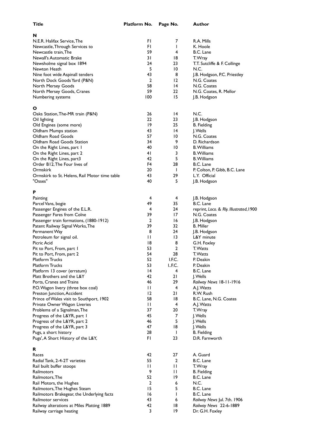| Title                                         | Platform No.   | Page No.        | Author                                  |
|-----------------------------------------------|----------------|-----------------|-----------------------------------------|
| N                                             |                |                 |                                         |
| N.E.R. Halifax Service, The                   | FI             | 7               | R.A. Mills                              |
| Newcastle, Through Services to                | FI             | T               | K. Hoole                                |
| Newcastle train, The                          | 59             | 4               | B.C. Lane                               |
| Newall's Automatic Brake                      | 31             | 18              | T. Wray                                 |
| Newsholme signal box 1894                     | 24             | 23              | T.T. Sutcliffe & F. Collinge            |
| Newton Heath                                  | 5              | 10              | N.C.                                    |
| Nine foot wide Aspinall tenders               | 43             | 8               | J.B. Hodgson, P.C. Priestley            |
| North Dock Goods Yard (P&N)                   | 2              | 12              | N.G. Coates                             |
| North Mersey Goods                            | 58             | $\overline{14}$ | N.G. Coates                             |
| North Mersey Goods, Cranes                    | 59             | 22              | N.G. Coates, R. Mellor                  |
| Numbering systems                             | 100            | 15              | J.B. Hodgson                            |
| ο                                             |                |                 |                                         |
| Oaks Station, The-MR train (P&N)              | 26             | 4               | N.C.                                    |
| Oil lighting                                  | 22.            | 23              | J.B. Hodgson                            |
| Old Engines (some more)                       | 19             | 25              | <b>B.</b> Fielding                      |
| Oldham Mumps station                          | 43             | 14              | J. Wells                                |
| Oldham Road Goods                             | 57             | 10              | N.G. Coates                             |
| Oldham Road Goods Station                     | 34             | 9               | D. Richardson                           |
| On the Right Lines, part I                    | 40             | 10              | <b>B.</b> Williams                      |
| On the Right Lines, part 2                    | 41             | 3               | <b>B.</b> Williams                      |
| On the Right Lines, part3                     | 42             | 5               | <b>B.</b> Williams                      |
| Order B12, The Four lives of                  | F4             | 28              | B.C. Lane                               |
| Ormskirk                                      | 20             | $\mathbf{I}$    | P. Colton, P. Gibb, B.C. Lane           |
| Ormskirk to St. Helens, Rail Motor time table | 43             | 29              | L.Y. Official                           |
| "Osses"                                       | 40             | 5               | J.B. Hodgson                            |
| P                                             |                |                 |                                         |
| Painting                                      | 4              | 4               | J.B. Hodgson                            |
| Parcel Vans, bogie                            | 49             | 35              | B.C. Lane                               |
| Passenger Engines of the E.L.R.               | 4              | 24              | reprint, Loco. & Rly. Illustrated, 1900 |
| Passenger Fares from Colne                    | 39             | 17              | N.G. Coates                             |
| Passenger train formations, (1880-1912)       | 2              | 16              | J.B. Hodgson                            |
| Patent Railway Signal Works, The              | 39             | 32              | <b>B.</b> Miller                        |
| Permanent Way                                 | 8              | 24              | J.B. Hodgson                            |
| Petroleum for signal oil.                     | П              | 13              | L&Y minute                              |
| Picric Acid                                   | 18             | 8               | G.H. Foxley                             |
| Pit to Port, From, part 1                     | 53             | $\overline{2}$  | T. Watts                                |
| Pit to Port, From, part 2                     | 54             | 28              | T. Watts                                |
| <b>Platform Trucks</b>                        | 52             | I.F.C.          | P. Deakin                               |
| <b>Platform Trucks</b>                        | 53             | I., F.C.        | P. Deakin                               |
| Platform 13 cover (erratum)                   | 4              | 4               | B.C. Lane                               |
| Platt Brothers and the L&Y                    | 42             | 21              | J. Wells                                |
| Ports, Cranes and Trains                      | 46             | 29              | Railway News 18-11-1916                 |
| P.O. Wagon livery (three box coal)            | П              | 4               | A.J. Watts                              |
| Preston Junction, Accident                    | 12             | 21              | R.W. Rush                               |
| Prince of Wales visit to Southport, 1902      | 58             | 18              | B.C. Lane, N.G. Coates                  |
| Private Owner Wagon Liveries                  | П              | 4               | A.J. Watts                              |
| Problems of a Signalman, The                  | 37             | 20              | T. Wray                                 |
| Progress of the L&YR, part I                  | 45             | 7               | J. Wells                                |
| Progress of the L&YR, part 2                  | 46             | 5               | J. Wells                                |
| Progress of the L&YR, part 3                  | 47             | 18              | J. Wells                                |
| Pugs, a short history                         | 28             | $\mathbf{I}$    | <b>B.</b> Fielding                      |
| Pugs', A Short History of the L&Y,            | FI             | 23              | D.R. Farnworth                          |
| R                                             |                |                 |                                         |
| Races                                         | 42             | 27              | A. Guard                                |
| Radial Tank, 2-4-2T varieties                 | 55             | $\overline{2}$  | B.C. Lane                               |
| Rail built buffer stoops                      | П              | П               | T. Wray                                 |
| Railmotors                                    | 9              | П               | <b>B.</b> Fielding                      |
| Railmotors, The                               | 52             | 19              | B.C. Lane                               |
| Rail Motors, the Hughes                       | $\overline{2}$ | 6               | N.C.                                    |
| Railmotors, The Hughes Steam                  | 15             | 5               | B.C. Lane                               |
| Railmotors Brakegear, the Underlying facts    | 16             | $\mathbf{I}$    | B.C. Lane                               |
| Railmotor services                            | 43             | 6               | Railway News Jul. 7th. 1906             |
| Railway alterations at Miles Platting 1889    | 42             | 18              | Railway News 22-6-1889                  |
| Railway carriage heating                      | 3              | 19              | Dr. G.H. Foxley                         |
|                                               |                |                 |                                         |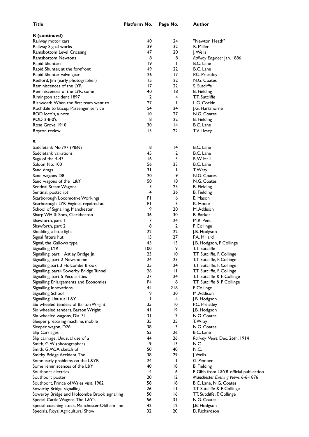| Author |  |  |  |
|--------|--|--|--|

| R (continued)                                  |                 |                |                                        |
|------------------------------------------------|-----------------|----------------|----------------------------------------|
| Railway motor cars                             | 40              | 24             | "Newton Heath"                         |
| Railway Signal works                           | 39              | 32             | R. Miller                              |
| Ramsbottom Level Crossing                      | 47              | 20             | J. Wells                               |
| <b>Ramsbottom Newtons</b>                      | 8               | 8              | Railway Engineer Jan. 1886             |
| Rapid Shunters                                 | 19              | I              | B.C. Lane                              |
| Rapid Shunter, at the forefront                | 49              | 22             | B.C. Lane                              |
| Rapid Shunter valve gear                       | 26              | 17             | P.C. Priestley                         |
| Redford, Jim (early photographer)              | 15              | 22             | N.G. Coates                            |
| Reminiscences of the LYR                       | 17              | 22             | S. Sutcliffe                           |
| Reminiscences of the LYR, some                 | 40              | 18             | B. Fielding                            |
| Rimington accident 1897                        | $\overline{2}$  | 4              | T.T. Sutcliffe                         |
| Rishworth, When the first team went to         | 27              | I              | L.G. Cockin                            |
| Rochdale to Bacup, Passenger service           | 54              | 24             | J.G. Hartshorne                        |
| ROD loco's, a note                             | 10              | 27             | N.G. Coates                            |
| ROD 2-8-0's                                    | 8               | 22             | <b>B.</b> Fielding                     |
| Rose Grove 1910                                | 30              | 4              | B.C. Lane                              |
| Royton review                                  | $\overline{13}$ | 22             | T.V. Livsey                            |
| s                                              |                 |                |                                        |
| Saddletank No.797 (P&N)                        | 8               | 4              | B.C. Lane                              |
| Saddletank variations                          | 45              | 2              | B.C. Lane                              |
| Saga of the 4-43                               | 16              | 3              | R.W. Hall                              |
| Saloon No. 100                                 | 56              | 23             | B.C. Lane                              |
| Sand drags                                     | 31              | L              | T. Wray                                |
| Sand wagons D8                                 | 20              | 9              | N.G. Coates                            |
| Sand wagons of the L&Y                         | 50              | 18             | N.G. Coates                            |
| Sentinal Steam Wagons                          | 3               | 25             | <b>B.</b> Fielding                     |
| Sentinal, postscript                           | 4               | 26             | <b>B.</b> Fielding                     |
| Scarborough Locomotive Workings                | FI              | 6              | E. Mason                               |
| Scarborough, LYR Engines repaired at.          | FI              | 5              | K. Hoole                               |
| School of Signalling, Manchester               | 9               | 20             | M. Addison                             |
| Sharp WH & Sons, Cleckheaton                   | 36              | 30             | B. Barker                              |
| Shawforth, part I                              | 7               | 24             | M.R. Peet                              |
| Shawforth, part 2                              | 8               | $\overline{2}$ | F. Collinge                            |
| Shedding a little light                        | 22              | 22             | J.B. Hodgson                           |
| Signal fitters hut                             | 15              | 27             | P.A. Millard                           |
| Signal, the Gallows type                       | 45              | 13             | J.B. Hodgson, F. Collinge              |
| Signalling LYR                                 | 100             | 9              | T.T. Sutcliffe                         |
| Signalling, part I Astley Bridge Jn.           | 23              | 10             | T.T. Sutcliffe, F. Collinge            |
| Signalling, part 2 Newsholme                   | 24              | 23             | T.T. Sutcliffe, F. Collinge            |
| Signalling, part 3 Holcombe Brook              | 25              | 24             | T.T. Sutcliffe, F. Collinge            |
| Signalling, part4 Sowerby Bridge Tunnel        | 26              | П              | T.T. Sutcliffe, F. Collinge            |
| Signalling, part 5 Peculiarities               | 27              | 24             | T.T. Sutcliffe & F. Collinge           |
| Signalling Enlargements and Economies          | F4              | 8              | T.T. Sutcliffe & F. Collinge           |
| Signalling Innovations                         | 44              | 218            | F. Collinge                            |
| Signalling School                              | 9               | 20             | M. Addison                             |
| Signalling, Unusual L&Y                        | <sup>1</sup>    | 4              | J.B. Hodgson                           |
| Six wheeled tenders of Barton Wright           | 35              | 10             | P.C. Preistley                         |
| Six wheeled tenders, Barton Wright             | 41              | 19             | J.B. Hodgson                           |
| Six wheeled wagons, Dia. 31                    | 31              | 7              | N.G. Coates                            |
| Sleeper preparing machine, mobile              | 35              | 25             | T. Wray                                |
| Sleeper wagon, D26                             | 38              | 3              | N.G. Coates                            |
| Slip Carriages                                 | 53              | 26             | B.C. Lane                              |
| Slip carriage, Unusual use of a                | 44              | 26             | Railway News, Dec. 26th. 1914          |
| Smith, G.W. (photographer)                     | 19              | 13             | N.C.                                   |
| Smith, G.W., A sketch of                       | 50              | 40             | N.C.                                   |
| Smithy Bridge Accident, The                    | 38              | 29             | J. Wells                               |
| Some early problems on the L&YR                | 24              | $\mathbf{I}$   | G. Pember                              |
| Some reminiscences of the L&Y                  | 40              | 18             | <b>B.</b> Fielding                     |
| Southport electrics                            | 14              | 6              | P. Gibb from L&YR official publication |
| Southport poster                               | 20              | 12             | Manchester Evening News 6-6-1876       |
| Southport, Prince of Wales visit, 1902         | 58              | 18             | B.C. Lane, N.G. Coates                 |
| Sowerby Bridge signalling                      | 26              | П              | T.T. Sutcliffe & F. Collinge           |
| Sowerby Bridge and Holcombe Brook signalling   | 50              | 16             | TT. Sutcliffe, F. Collinge             |
| Special Cattle Wagons. The L&Y's               | 56              | 31             | N.G. Coates                            |
| Special coaching stock, Manchester-Oldham line | 42              | $\overline{2}$ | J.B. Hodgson                           |
| Specials, Royal Agricultural Show              | 32              | 20             | D. Richardson                          |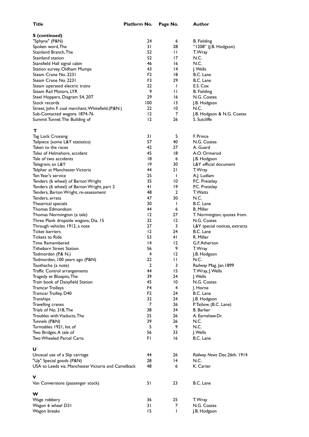| <b>S</b> (continued)                                                             |                |                              |                                   |
|----------------------------------------------------------------------------------|----------------|------------------------------|-----------------------------------|
| "Sphynx" (P&N)                                                                   | 24             | 6                            | <b>B.</b> Fielding                |
| Spoken word, The                                                                 | 31             | 28                           | "1208" (J.B. Hodgson)             |
| Stainland Branch, The                                                            | 52.            | $\mathsf{L}$                 | T. Wray                           |
| Stainland station                                                                | 52.            | 17                           | N.C.                              |
| Stansfield Hall signal cabin                                                     | 46             | 16                           | N.C.                              |
| Station survey, Oldham Mumps                                                     | 43             | $\overline{14}$              | J. Wells                          |
| Steam Crane No. 2231                                                             | F2             | 18                           | B.C. Lane                         |
| Steam Crane No. 2231                                                             | F3             | 29                           | B.C. Lane                         |
| Steam operated electric trains<br>Steam Rail Motors, LYR                         | 22.<br>9       | $\mathbf{I}$<br>$\mathsf{L}$ | E.S. Cox                          |
| Steel Hoppers, Diagram 54, 20T                                                   | 29             | 16                           | <b>B.</b> Fielding<br>N.G. Coates |
| Stock records                                                                    | 100            | $\overline{13}$              | J.B. Hodgson                      |
| Street, John F. coal merchant, Whitefield.(P.&N.)                                | 22.            | 10                           | N.C.                              |
| Sub-Contacted wagons 1874-76                                                     | $12 \,$        | 7                            | J.B. Hodgson & N.G. Coates        |
| Summit Tunnel, The Building of                                                   | 12             | 26                           | S. Sutcliffe                      |
|                                                                                  |                |                              |                                   |
| т                                                                                |                |                              |                                   |
| <b>Tag Lock Crossing</b>                                                         | 31             | 5                            | F. Prince                         |
| Tailpiece (some L&Y statistics)                                                  | 57             | 40                           | N.G. Coates                       |
| Taken to the races                                                               | 42             | 27                           | A. Guard                          |
| Tales of Helmshore, accident                                                     | 45             | 18                           | A.O. Ormerod                      |
| Tale of two accidents                                                            | 18             | 6                            | J.B. Hodgson                      |
| Telegram, an L&Y                                                                 | 19             | 30                           | L&Y official document             |
| Telpher at Manchester Victoria                                                   | 44             | 21                           | T. Wray                           |
| Ten Year's service                                                               | 25<br>35       | $\mathbf{I}$<br>10           | A.J. Ludlam<br>P.C. Preistley     |
| Tenders (6 wheel) of Barton Wright<br>Tenders (6 wheel) of Barton Wright, part 2 | 41             | 19                           | P.C. Preistley                    |
| Tenders, Barton Wright, re-assessment                                            | 48             | 2                            | T. Watts                          |
| Tenders, errata                                                                  | 47             | 30                           | N.C.                              |
| Theatrical specials                                                              | 30             | $\mathbf{I}$                 | B.C. Lane                         |
| Thomas Edmondson                                                                 | 44             | 6                            | <b>B. Miller</b>                  |
| Thomas Normington (a tale)                                                       | 12             | 27                           | T. Normington, quotes from.       |
| Three Plank dropside wagons; Dia. 15                                             | 32.            | $\overline{2}$               | N.G. Coates                       |
| Through vehicles 1912, a note                                                    | 27             | 3                            | L&Y special notices, extracts     |
| Ticket barriers                                                                  | $12 \,$        | 24                           | B.C. Lane                         |
| <b>Tickets to Ride</b>                                                           | 53             | 41                           | R. Miller                         |
| <b>Time Remembered</b>                                                           | 14             | 12                           | G.F. Atherton                     |
| Tithebarn Street Station                                                         | 56             | 9                            | T. Wray                           |
| Todmorden (P.& N.)                                                               | 4              | 12                           | J.B. Hodgson                      |
| Todmorden, 100 years ago (P&N)                                                   | 22             | П                            | N.C.                              |
| Toothache (a note)                                                               | 2              | 3<br>15                      | Railway Mag. Jan. 1899            |
| Traffic Control arrangements<br>Tragedy et Bluepits, The                         | 44<br>39       | 24                           | T. Wray, J. Wells<br>J. Wells     |
| Train book of Daisyfield Station                                                 | 45             | 10                           | N.G. Coates                       |
| <b>Tramcar Trolleys</b>                                                          | F4             | 4                            | J. Horne                          |
| Tramcar Trolley, D40                                                             | F <sub>2</sub> | 24                           | B.C. Lane                         |
| Tranships                                                                        | 32             | 24                           | J.B. Hodgson                      |
| Travelling cranes                                                                | 7              | 26                           | P. Tatlow, (B.C. Lane)            |
| Trials of No. 318, The                                                           | 38             | 34                           | <b>B.</b> Barker                  |
| Troubles with Viaducts, The                                                      | 25             | 26                           | A. Earnshaw.Dr.                   |
| Tunnels (P&N)                                                                    | 39             | 26                           | N.C.                              |
| Turntables 1921, list of                                                         | 5              | 9                            | N.C.                              |
| Two Bridges. A tale of                                                           | 56             | 33                           | J. Wells                          |
| Two Wheeled Parcel Carts                                                         | FI             | 16                           | B.C. Lane                         |
| υ                                                                                |                |                              |                                   |
| Unusual use of a Slip carriage                                                   | 44             | 26                           | Railway News Dec.26th. 1914       |
| "Up" Special goods (P&N)                                                         | 28             | 14                           | N.C.                              |
| USA to Leeds via. Manchester Victoria and Camelback                              | 48             | 6                            | K. Carter                         |
|                                                                                  |                |                              |                                   |
| ۷                                                                                |                |                              |                                   |
| Van Conversions (passenger stock)                                                | 51             | 23                           | B.C. Lane                         |
| w                                                                                |                |                              |                                   |
| Wage robbery                                                                     | 36             | 25                           | T. Wray                           |
| Wagon 6 wheel D31                                                                | 31             | 7                            | N.G. Coates                       |
| Wagon breaks                                                                     | 15             | $\mathbf{I}$                 | J.B. Hodgson                      |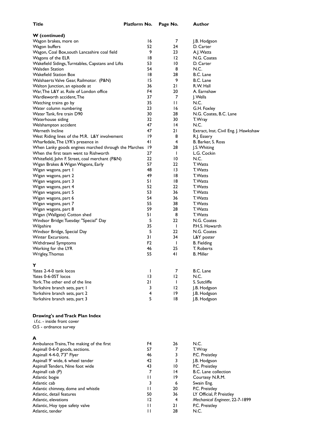| Title                                                                | Platform No.   | Page No.        | Author                                |
|----------------------------------------------------------------------|----------------|-----------------|---------------------------------------|
| <b>W</b> (continued)                                                 |                |                 |                                       |
| Wagon brakes, more on                                                | 16             | 7               | J.B. Hodgson                          |
| Wagon buffers                                                        | 52             | 24              | D. Carter                             |
| Wagon, Coal Box, south Lancashire coal field                         | 9              | 23              | A.J. Watts                            |
| Wagons of the ELR                                                    | 18             | 12              | N.G. Coates                           |
|                                                                      | 53             | $\overline{10}$ | D. Carter                             |
| Wakefield Sidings, Turntables, Capstans and Lifts<br>Walsden Station | 54             | 8               | N.C.                                  |
| <b>Wakefield Station Box</b>                                         |                |                 |                                       |
|                                                                      | 18             | 28              | B.C. Lane                             |
| Walshaerts Valve Gear, Railmotor. (P&N)                              | 15             | 9               | B.C. Lane                             |
| Walton Junction, an episode at                                       | 36             | 21              | R.W. Hall                             |
| War, The L&Y at. Role of London office                               | F4             | 20              | A. Earnshaw                           |
| Wardleworth accident, The                                            | 37             | 7               | J. Wells                              |
| Watching trains go by                                                | 35             | П               | N.C.                                  |
| Water column numbering                                               | 23             | 16              | G.H. Foxley                           |
| Water Tank, fire train D90                                           | 30             | 28              | N.G. Coates, B.C. Lane                |
| Waterhouse siding                                                    | 32             | 30              | T. Wray                               |
| Welshampton accident                                                 | 47             | 14              | N.C.                                  |
| Werneth Incline                                                      | 47             | 21              | Extract, Inst. Civil Eng. J. Hawkshaw |
| West Riding lines of the M.R. L&Y involvement                        | 19             | 8               | R.J. Essery                           |
| Wharfedale, The LYR's presence in                                    | 41             | 4               | B. Barker, S. Ross                    |
| When Lanky goods engines marched through the Marches                 | -19            | 28              | J.S. Whiting                          |
| When the first team went to Rishworth                                | 27             | $\mathbf{I}$    | L.G. Cockin                           |
|                                                                      |                |                 |                                       |
| Whitefield, John F. Street, coal merchant (P&N)                      | 22             | 10              | N.C.                                  |
| Wigan Brakes & Wigan Wagons, Early                                   | 57             | 22              | T. Watts                              |
| Wigan wagons, part I                                                 | 48             | $\overline{13}$ | T. Watts                              |
| Wigan wagons, part 2                                                 | 49             | 18              | T. Watts                              |
| Wigan wagons, part 3                                                 | 51             | 18              | T. Watts                              |
| Wigan wagons, part 4                                                 | 52             | 22              | T. Watts                              |
| Wigan wagons, part 5                                                 | 53             | 36              | T. Watts                              |
| Wigan wagons, part 6                                                 | 54             | 36              | T. Watts                              |
| Wigan wagons, part 7                                                 | 55             | 38              | T. Watts                              |
| Wigan wagons, part 8                                                 | 59             | 28              | T. Watts                              |
| Wigan (Wallgate) Cotton shed                                         | 51             | 8               | T. Watts                              |
| Windsor Bridge: Tuesday: "Special" Day                               | 5              | 22              | N.G. Coates                           |
| Wilpshire                                                            | 35             | $\mathbf{I}$    | P.H.S. Howarth                        |
| Windsor Bridge, Special Day                                          | 5              | 22              | N.G. Coates                           |
| <b>Winter Excursions.</b>                                            | 31             | 34              |                                       |
|                                                                      |                |                 | L&Y poster                            |
| Withdrawal Symptoms                                                  | F <sub>2</sub> | $\mathbf{I}$    | <b>B.</b> Fielding                    |
| Working for the LYR                                                  | 46             | 25              | T. Roberts                            |
| Wrigley, Thomas                                                      | 55             | 41              | <b>B.</b> Miller                      |
|                                                                      |                |                 |                                       |
| Y                                                                    |                |                 |                                       |
| Yates 2-4-0 tank locos                                               | T              | 7               | B.C. Lane                             |
| Yates 0-6-0ST locos                                                  | 13             | $\overline{2}$  | N.C.                                  |
| York. The other end of the line                                      | 21             | $\mathbf{I}$    | S. Sutcliffe                          |
| Yorkshire branch sets, part I                                        | 3              | 12              | J.B. Hodgson                          |
| Yorkshire branch sets, part 2                                        | 4              | $ 9\rangle$     | J.B. Hodgson                          |
| Yorkshire branch sets, part 3                                        | 5              | 18              | J.B. Hodgson                          |
|                                                                      |                |                 |                                       |
|                                                                      |                |                 |                                       |
| Drawing's and Track Plan Index                                       |                |                 |                                       |
| i.f.c. - inside front cover                                          |                |                 |                                       |
| O.S - ordnance survey                                                |                |                 |                                       |
|                                                                      |                |                 |                                       |
| A                                                                    |                |                 |                                       |
| Ambulance Trains, The making of the first                            | F4             | 26              | N.C.                                  |
| Aspinall 0-6-0 goods, sections.                                      | 57             | 7               | T. Wray                               |
|                                                                      | 46             | 3               |                                       |
| Aspinall 4-4-0, 7'3" Flyer                                           | 42             | 3               | P.C. Preistley                        |
| Aspinall 9' wide, 6 wheel tender                                     |                |                 | J.B. Hodgson                          |
| Aspinall Tenders, Nine foot wide                                     | 43             | 10              | P.C. Preistley                        |
| Aspinall cab (P)                                                     | $\overline{7}$ | $\overline{14}$ | B.C. Lane collection                  |
| Atlantic bogie                                                       | $\mathbf{H}$   | 19              | Courtesy N.R.M.                       |
| Atlantic cab                                                         | 3              | 6               | Swain Eng.                            |
| Atlantic chimney, dome and whistle                                   | $\mathsf{L}$   | 20              | P.C. Preistley                        |
| Atlantic, detail features                                            | 50             | 36              | LY Official, P. Preistley             |
| Atlantic, elevations                                                 | 12             | 4               | Mechanical Engineer, 22-7-1899        |
| Atlantic, Hoy type safety valve                                      | П              | 21              | P.C. Preistley                        |
| Atlantic, tender                                                     | $\mathbf{H}$   | 28              | N.C.                                  |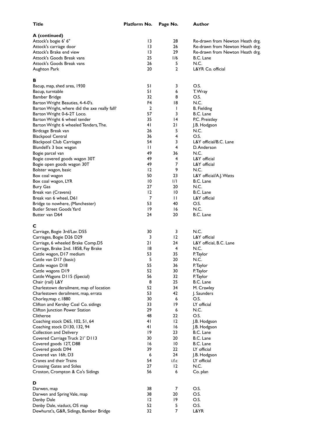| Title                                         | Platform No.   | Page No.         | Author                          |
|-----------------------------------------------|----------------|------------------|---------------------------------|
| A (continued)                                 |                |                  |                                 |
| Attock's bogie 6' 6"                          | 13             | 28               | Re-drawn from Newton Heath drg. |
| Attock's carriage door                        | 13             | 26               | Re-drawn from Newton Heath drg. |
| Attock's Brake end view                       | 13             | 29               | Re-drawn from Newton Heath drg. |
| Attock's Goods Break vans                     | 25             | 1/6              | B.C. Lane                       |
| Attock's Goods Break vans                     | 26             | 5                | N.C.                            |
| Aughton Park                                  | 20             | $\overline{2}$   | L&YR Co. official               |
| в                                             |                |                  |                                 |
| Bacup, map, shed area, 1930                   | 51             | 3                | O.S.                            |
| Bacup, turntable                              | 51             | 6                | T. Wray                         |
| Bamber Bridge                                 | 32             | 8                | O.S.                            |
| Barton Wright Beauties, 4-4-0's.              | F4             | 18               | N.C.                            |
| Barton Wright, where did the axe really fall? | 2              | $\mathsf{I}$     | <b>B.</b> Fielding              |
| Barton Wright 0-6-2T Loco.                    | 57             | 3                | B.C. Lane                       |
| Barton Wright 6 wheel tender                  | 35             | 14               | P.C. Preistley                  |
| Barton Wright 6 wheeled Tenders, The.         | 41             | 21               | J.B. Hodgson                    |
| Birdcage Break van                            | 26             | 5                | N.C.                            |
| <b>Blackpool Central</b>                      | 36             | 4                | O.S.                            |
| <b>Blackpool Club Carriages</b>               | 54             | 3                | L&Y official/B.C. Lane          |
| Blundell's 3 box wagon                        | П              | 4                | D. Anderson                     |
| Bogie parcel van                              | 49             | 36               | N.C.                            |
| Bogie covered goods wagon 30T                 | 49             | 4                | L&Y official                    |
| Bogie open goods wagon 30T                    | 49             | 7                | L&Y official                    |
| Bolster wagon, basic                          | 12             | 9                | N.C.                            |
| Box coal wagon                                | 50             | 23               | L&Y official/A.J. Watts         |
| Box coal wagon, LYR                           | 10             | 1/1              | B.C. Lane                       |
| <b>Bury Gas</b>                               | 27             | 20               | N.C.                            |
| Break van (Cravens)                           | $\overline{2}$ | 10               | B.C. Lane                       |
| Break van 6 wheel, D61                        | 7              | $\mathbf{H}$     | L&Y official                    |
| Bridge to nowhere, (Manchester)               | 53             | 40               | O.S.                            |
| Butler Street Goods Yard<br>Butter van D64    | 19<br>24       | 16<br>20         | N.C.<br>B.C. Lane               |
|                                               |                |                  |                                 |
| С<br>Carriage, Bogie 3rd/Lav. D55             | 30             | 3                | N.C.                            |
| Carriages, Bogie D26 D29                      | 3              | $12 \,$          | L&Y official                    |
| Carriage, 6 wheeled Brake Comp.D5             | 21             | 24               | L&Y official, B.C. Lane         |
| Carriage, Brake 2nd. 1858, Fay Brake          | 18             | 4                | N.C.                            |
| Cattle wagon, D17 medium                      | 53             | 35               | P. laylor                       |
| Cattle van D17 (basic)                        | 5              | 20               | N.C.                            |
| Cattle wagon D18                              | 55             | 36               | P. Taylor                       |
| Cattle wagons D19                             | 52             | 30               | P. Taylor                       |
| Cattle Wagons D115 (Special)                  | 56             | 32               | P. Taylor                       |
| Chair (rail) L&Y                              | 8              | 25               | B.C. Lane                       |
| Charlestown derailment, map of location       | 52             | 34               | M. Crawley                      |
| Charlestown derailment, map, errata           | 53             | 42               | J. Saunders                     |
| Chorley, map c. 1880                          | 30             | 6                | O.S.                            |
| Clifton and Kersley Coal Co. sidings          | 33             | 19               | LY official                     |
| Clifton Junction Power Station                | 29             | $\boldsymbol{6}$ | N.C.                            |
| Clitheroe                                     | 48             | 22               | O.S.                            |
| Coaching stock D65, 102, 51, 64               | 41             | 12               | J.B. Hodgson                    |
| Coaching stock D130, 132, 94                  | 41             | 16               | J.B. Hodgson                    |
| Collection and Delivery                       | 19             | 23               | B.C. Lane                       |
| Covered Carriage Truck 21' D113               | 30             | 20               | B.C. Lane                       |
| Covered goods 12T, D88                        | 16             | $\overline{10}$  | B.C. Lane                       |
| Covered goods D94                             | 39             | 22               | LY official                     |
| Covered van 16ft. D3                          | 6              | 24               | J.B. Hodgson                    |
| Cranes and their Trains                       | 54             | i.f.c            | LY official                     |
| Crossing Gates and Stiles                     | 27             | 12               | N.C.                            |
| Croston, Crompton & Co's Sidings              | 56             | 6                | Co. plan                        |
| D                                             | 38             | 7                | O.S.                            |
| Darwen, map                                   | 38             | 20               | O.S.                            |
| Darwen and Spring Vale, map<br>Denby Dale     | 12             | 19               | O.S.                            |
| Denby Dale, viaduct, OS map                   | 52             | 5                | O.S.                            |
| Dewhurst's, G&R, Sidings, Bamber Bridge       | 32             | 7                | L&YR                            |
|                                               |                |                  |                                 |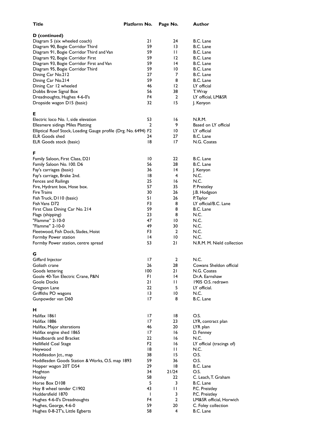| Title                                                           | Platform No.    | Page No.              | Author                             |
|-----------------------------------------------------------------|-----------------|-----------------------|------------------------------------|
| D (continued)                                                   |                 |                       |                                    |
| Diagram 5 (six wheeled coach)                                   | 21              | 24                    | B.C. Lane                          |
| Diagram 90, Bogie Corridor Third                                | 59              | 13                    | B.C. Lane                          |
| Diagram 91, Bogie Corridor Third and Van                        | 59              | $\mathsf{L}$          | B.C. Lane                          |
| Diagram 92, Bogie Corridor First                                | 59              | 12                    | B.C. Lane                          |
| Diagram 93, Bogie Corridor First and Van                        | 59              | 14                    | B.C. Lane                          |
| Diagram 95, Bogie Corridor Third                                | 59              | 10                    | B.C. Lane                          |
| Dining Car No.212                                               | 27              | 7                     | B.C. Lane                          |
| Dining Car No.214                                               | 59              | 8                     | B.C. Lane                          |
| Dining Car 12 wheeled                                           | 46              | $12 \,$               | LY official                        |
| Dobbs Brow Signal Box                                           | 56              | 38                    | T. Wray                            |
| Dreadnoughts, Hughes 4-6-0's                                    | F4              | $\overline{2}$        | LY official, LM&SR                 |
| Dropside wagon D15 (basic)                                      | 32              | 15                    | J. Kenyon                          |
| Е                                                               |                 |                       |                                    |
| Electric loco No. I, side elevation                             | 53              | 16                    | N.R.M.                             |
| <b>Ellesmere sidings Miles Platting</b>                         | 2               | 9                     | Based on LY official               |
| Elliptical Roof Stock, Loading Gauge profile (Drg. No. 6494) F2 |                 | 10                    | LY official                        |
| <b>ELR Goods shed</b>                                           | 24              | 27                    | B.C. Lane                          |
| ELR Goods stock (basic)                                         | 18              | 17                    | N.G. Coates                        |
| F                                                               |                 |                       |                                    |
| Family Saloon, First Class, D21                                 | $\overline{10}$ | 22                    | B.C. Lane                          |
| Family Saloon No. 100. D6                                       | 56              | 28                    | B.C. Lane                          |
| Fay's carriages (basic)                                         | 36              | 14                    | J. Kenyon                          |
| Fay's carriage, Brake 2nd.                                      | 18              | 4                     | N.C.                               |
| Fences and Railings                                             | 25              | 16                    | N.C.                               |
| Fire, Hydrant box, Hose box.                                    | 57              | 35                    | P. Preistley                       |
| <b>Fire Trains</b>                                              | 30              | 26                    | J.B. Hodgson                       |
| Fish Truck, D110 (basic)                                        | 51              | 26                    | P. Taylor                          |
| Fish Vans D72                                                   | F3              | 8                     | LY official/B.C. Lane              |
| First Class Dining Car No. 214                                  | 59              | 8                     | B.C. Lane                          |
| Flags (shipping)                                                | 23              | 8                     | N.C.                               |
| "Flamme" 2-10-0                                                 | 47              | 10                    | N.C.                               |
| "Flamme" 2-10-0                                                 | 49              | 30                    | N.C.                               |
| Fleetwood, Fish Dock, Slades, Hoist                             | F3              | 2                     | N.C.                               |
| Formby Power station<br>Formby Power station, centre spread     | 14<br>53        | $\overline{10}$<br>21 | N.C.<br>N.R.M. M. Nield collection |
| G                                                               |                 |                       |                                    |
| Giffard Injector                                                | 17              | 2                     | N.C.                               |
| Goliath crane                                                   | 26              | 28                    | Cowans Sheldon official            |
| Goods lettering                                                 | 100             | 21                    | N.G. Coates                        |
| Goole 40-Ton Electric Crane, P&N                                | FI.             | 14                    | Dr.A. Earnshaw                     |
| Goole Docks                                                     | 21              | П                     | 1905 O.S. redrawn                  |
| Gregson Lane                                                    | 22              | 5                     | LY official.                       |
| Griffiths PO wagons                                             | $\overline{13}$ | $\overline{10}$       | N.C.                               |
| Gunpowder van D60                                               | 17              | 8                     | B.C. Lane                          |
| н                                                               |                 |                       |                                    |
| Halifax 1861                                                    | 17              | 18                    | O.S.                               |
| Halifax 1886                                                    | 17              | 23                    | LYR, contract plan                 |
| Halifax, Major alterations                                      | 46              | 20                    | LYR plan                           |
| Halifax engine shed 1865                                        | 17              | 16                    | D. Fenney                          |
| Headboards and Bracket                                          | 22              | 16                    | N.C.                               |
| Hellifield Coal Stage                                           | F <sub>2</sub>  | 16                    | LY official (tracings of)          |
| Heywood                                                         | 18              | П                     | N.C.                               |
| Hoddlesdon Jct., map                                            | 38              | 15                    | O.S.                               |
| Hoddlesden Goods Station & Works, O.S. map 1893                 | 59              | 36                    | O.S.                               |
| Hopper wagon 20T D54                                            | 29              | 18                    | B.C. Lane                          |
| Hoghton                                                         | 34              | 21/24                 | O.S.                               |
| Honley                                                          | 58              | 22.                   | C. Leach, T. Graham                |
| Horse Box D108                                                  | 5               | 3                     | B.C. Lane                          |
| Hoy 8 wheel tender C1902                                        | 43              | $\mathbf{H}$          | P.C. Preistley                     |
| Huddersfield 1870                                               | $\mathbf{I}$    | 3                     | P.C. Preistley                     |
| Hughes 4-6-0's Dreadnoughts                                     | F4              | $\mathbf{2}$          | LM&SR official, Horwich            |
| Hughes, George, 4-6-0                                           | 59              | 20                    | C. Foley collection                |
| Hughes 0-8-2T's, Little Egberts                                 | 58              | 4                     | B.C. Lane                          |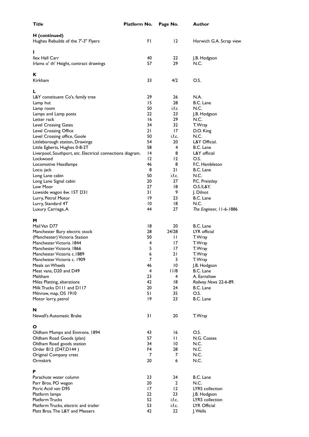| Title                                                            | Platform No.    | Page No.          | Author                  |
|------------------------------------------------------------------|-----------------|-------------------|-------------------------|
| H (continued)<br>Hughes Rebuilds of the 7'-3" Flyers             | FI.             | $12 \overline{ }$ | Horwich G.A. Scrap view |
| L                                                                |                 |                   |                         |
| <b>Ilex Hall Carr</b><br>Irlams o' th' Height, contract drawings | 40<br>57        | 22<br>29          | J.B. Hodgson<br>N.C.    |
| к<br>Kirkham                                                     | 33              | 4/2               | O.S.                    |
|                                                                  |                 |                   |                         |
| L                                                                |                 |                   |                         |
| L&Y constituent Co's. family tree                                | 29              | 26                | N.A.                    |
| Lamp hut                                                         | 15              | 28                | B.C. Lane               |
| Lamp room                                                        | 50              | i.f.c             | N.C.                    |
| Lamps and Lamp posts                                             | 22              | 23                | J.B. Hodgson            |
| Letter rack                                                      | 16              | 29                | N.C.                    |
| Level Crossing Gates                                             | 34              | 32                | T. Wray                 |
| Level Crossing Office                                            | 21              | 17                | D.O. King<br>N.C.       |
| Level Crossing office, Goole                                     | 50<br>54        | i.f.c.<br>20      | L&Y Official.           |
| Littleborough station, Drawings<br>Little Egberts, Hughes 0-8-2T | 58              | 4                 | B.C. Lane               |
| Liverpool, Southport, etc. Electrical connections diagram.       | $\overline{14}$ | 8                 | L&Y official            |
| Lockwood                                                         | 12              | 12                | O.S.                    |
| Locomotive Headlamps                                             | 46              | 8                 | F.C. Hambleton          |
| Loco. jack                                                       | 8               | 21                | B.C. Lane               |
| Long Lane cabin                                                  | 50              | i.f.c.            | N.C.                    |
| Long Lane Signal cabin                                           | 20              | 27                | P.C. Preistley          |
| Low Moor                                                         | 27              | 18                | O.S./L&Y.               |
| Lowside wagon 6w. 15T D31                                        | 31              | 9                 | J. Dilnot               |
| Lurry, Petrol Motor                                              | 19              | 23                | B.C. Lane               |
| Lurry, Standard 4T                                               | 10              | 18                | N.C.                    |
| Luxury Carriage, A                                               | 44              | 27                | The Engineer, 11-6-1886 |
|                                                                  |                 |                   |                         |
| м                                                                |                 |                   |                         |
| Mail Van D77                                                     | 18              | 20                | B.C. Lane               |
| Manchester Bury electric stock                                   | 28              | 24/28             | LYR official            |
| (Manchester) Victoria Station                                    | 50              | П                 | T. Wray                 |
| Manchester Victoria 1844                                         | 4               | 17                | T. Wray                 |
| Manchester Victoria 1866                                         | 5               | 17                | T. Wray                 |
| Manchester Victoria c.1889                                       | 6               | 21                | T. Wray                 |
| Manchester Victoria c. 1909                                      | $\overline{7}$  | 3                 | T. Wray                 |
| Meals on Wheels                                                  | 46              | $\overline{10}$   | J.B. Hodgson            |
| Meat vans, D20 and D49                                           | 4               | 11/8              | B.C. Lane               |
| Meltham                                                          | 23<br>42        | 4                 | A. Earnshaw             |
| Miles Platting, alterations<br>Milk Trucks D111 and D117         | 20              | 18<br>24          | Railway News 22-6-89.   |
| Milnrow, map, OS 1910                                            | 51              | 35                | B.C. Lane<br>O.S.       |
| Motor lorry, petrol                                              | 19              | 23                | B.C. Lane               |
|                                                                  |                 |                   |                         |
| N                                                                |                 |                   |                         |
| Newall's Automatic Brake                                         | 31              | 20                | T. Wray                 |
|                                                                  |                 |                   |                         |
| O                                                                |                 |                   |                         |
| Oldham Mumps and Environs. 1894                                  | 43              | 16                | O.S.                    |
| Oldham Road Goods (plan)                                         | 57              | Ħ                 | N.G. Coates             |
| Oldham Road goods station                                        | 34              | 10                | N.C.                    |
| Order B12 (D47, D144)                                            | F4<br>7         | 28<br>7           | N.C.<br>N.C.            |
| Original Company crest<br>Ormskirk                               | 20              | 6                 | N.C.                    |
|                                                                  |                 |                   |                         |
| P                                                                |                 |                   |                         |
| Parachute water column                                           | 23              | 24                | B.C. Lane               |
| Parr Bros. PO wagon                                              | 20              | 2                 | N.C.                    |
| Picric Acid van D95                                              | 17              | 12                | LYRS collection         |
| Platform lamps                                                   | 22              | 23                | J.B. Hodgson            |
| <b>Platform Trucks</b>                                           | 52              | i.f.c.            | LYRS collection         |
| Platform Trucks, electric and trailer                            | 53              | i.f.c.            | LYR Official            |
| Platt Bros. The L&Y and Messers                                  | 42              | 22                | J. Wells                |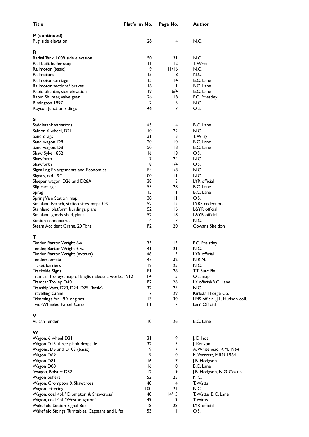| Title                                                 | Platform No.    | Page No.        | Author                          |
|-------------------------------------------------------|-----------------|-----------------|---------------------------------|
| P (continued)                                         |                 |                 |                                 |
| Pug, side elevation                                   | 28              | $\overline{4}$  | N.C.                            |
|                                                       |                 |                 |                                 |
| R<br>Radial Tank, 1008 side elevation                 | 50              | 31              | N.C.                            |
| Rail built buffer stop                                | $\mathsf{L}$    | 12              | T. Wray                         |
| Railmotor (basic)                                     | 9               | 11/16           | N.C.                            |
| Railmotors                                            | 15              | 8               | N.C.                            |
| Railmotor carriage                                    | 15              | 4               | B.C. Lane                       |
| Railmotor sections/ brakes                            | 16              | L               | B.C. Lane                       |
| Rapid Shunter, side elevation                         | 19              | 6/4             | B.C. Lane                       |
| Rapid Shunter, valve gear                             | 26              | 18              | P.C. Priestley                  |
| Rimington 1897                                        | $\overline{2}$  | 5               | N.C.                            |
| Royton Junction sidings                               | 46              | $\overline{7}$  | O.S.                            |
| S                                                     |                 |                 |                                 |
| Saddletank Variations                                 | 45              | 4               | B.C. Lane                       |
| Saloon 6 wheel, D21                                   | 10              | 22              | N.C.                            |
| Sand drags                                            | 31              | 3               | T. Wray                         |
| Sand wagon, D8                                        | 20              | 10              | B.C. Lane                       |
| Sand wagon, D8                                        | 50              | 18              | B.C. Lane                       |
| Shaw Syke 1852                                        | 16              | 18              | O.S.                            |
| Shawforth                                             | 7               | 24              | N.C.                            |
| Shawforth                                             | 8               | 1/4             | O.S.                            |
| Signalling Enlargements and Economies                 | F4              | 1/8             | N.C.                            |
| Signals, old L&Y                                      | 100             | $\mathbf{1}$    | N.C.                            |
| Sleeper wagon, D26 and D26A                           | 38              | 3               | LYR official                    |
| Slip carriage                                         | 53              | 28              | B.C. Lane                       |
| Sprag                                                 | 15              | ı               | B.C. Lane                       |
| Spring Vale Station, map                              | 38              | $\mathbf{1}$    | O.S.                            |
| Stainland Branch, station sites, maps OS              | 52              | 12              | LYRS collection                 |
| Stainland, platform buildings, plans                  | 52              | 16              | L&YR official                   |
| Stainland, goods shed, plans                          | 52              | 18              | L&YR official                   |
| Station nameboards                                    | $\overline{4}$  | 7               | N.C.                            |
| Steam Accident Crane, 20 Tons.                        | F <sub>2</sub>  | 20              | Cowans Sheldon                  |
| т                                                     |                 |                 |                                 |
| Tender, Barton Wright 6w.                             | 35              | 13              | P.C. Preistley                  |
| Tender, Barton Wright 6 w.                            | 41              | 21              | N.C.                            |
| Tender, Barton Wright (extract)                       | 48              | 3               | LYR official                    |
| Tenders, errata                                       | 47              | 32              | N.R.M.                          |
| Ticket barriers                                       | $12 \,$         | 25              | N.C.                            |
| Trackside Signs                                       | FI.             | 28              | T.T. Sutcliffe                  |
| Tramcar Trolleys, map of English Electric works, 1912 | F4              | 5               | O.S. map                        |
| Tramcar Trolley, D40                                  | F <sub>2</sub>  | 26              | LY official/B.C. Lane           |
| Tranship Vans, D23, D24, D25, (basic)                 | 32              | 25              | N.C.                            |
| <b>Travelling Crane</b>                               | 7               | 29              | Kirkstall Forge Co.             |
| Trimmings for L&Y engines                             | 13              | 30              | LMS official, J.L. Hudson coll. |
| Two-Wheeled Parcel Carts                              | FI.             | 17              | L&Y Official                    |
| ۷                                                     |                 |                 |                                 |
| Vulcan Tender                                         | $\overline{10}$ | 26              | B.C. Lane                       |
| w                                                     |                 |                 |                                 |
| Wagon, 6 wheel D31                                    | 31              | 9               | J. Dilnot                       |
| Wagon D15, three plank dropside                       | 32              | 15              | J. Kenyon                       |
| Wagons, D6 and D103 (basic)                           | 9               | 7               | A. Whitehead, R.M. 1964         |
| Wagon D69                                             | 9               | $\overline{10}$ | K. Werrett, MRN 1964            |
| Wagon D81                                             | 16              | 7               | J.B. Hodgson                    |
| Wagon D88                                             | 16              | $\overline{10}$ | B.C. Lane                       |
| Wagon, Bolster D32                                    | 12              | 9               | J.B. Hodgson, N.G. Coates       |
| Wagon buffers                                         | 52              | 25              | N.C.                            |
| Wagon, Crompton & Shawcross                           | 48              | 4               | T. Watts                        |
| Wagon lettering                                       | 100             | 21              | N.C.                            |
| Wagon, coal 4pl. "Crompton & Shawcross"               | 48              | 14/15           | T. Watts/ B.C. Lane             |
| Wagon, coal 4pl. "Westhoughton"                       | 49              | 19              | T. Watts                        |
| Wakefield Station Signal Box                          | 18              | 28              | LYR official                    |
| Wakefield Sidings, Turntables, Capstans and Lifts     | 53              | $\mathbf{H}$    | O.S.                            |